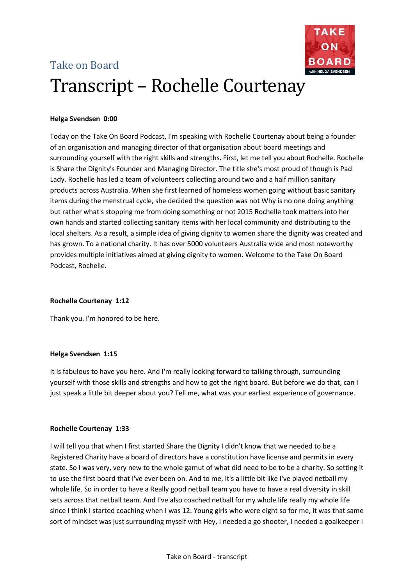# Take on Board Transcript – Rochelle Courtenay



Today on the Take On Board Podcast, I'm speaking with Rochelle Courtenay about being a founder of an organisation and managing director of that organisation about board meetings and surrounding yourself with the right skills and strengths. First, let me tell you about Rochelle. Rochelle is Share the Dignity's Founder and Managing Director. The title she's most proud of though is Pad Lady. Rochelle has led a team of volunteers collecting around two and a half million sanitary products across Australia. When she first learned of homeless women going without basic sanitary items during the menstrual cycle, she decided the question was not Why is no one doing anything but rather what's stopping me from doing something or not 2015 Rochelle took matters into her own hands and started collecting sanitary items with her local community and distributing to the local shelters. As a result, a simple idea of giving dignity to women share the dignity was created and has grown. To a national charity. It has over 5000 volunteers Australia wide and most noteworthy provides multiple initiatives aimed at giving dignity to women. Welcome to the Take On Board Podcast, Rochelle.

# **Rochelle Courtenay 1:12**

Thank you. I'm honored to be here.

# **Helga Svendsen 1:15**

It is fabulous to have you here. And I'm really looking forward to talking through, surrounding yourself with those skills and strengths and how to get the right board. But before we do that, can I just speak a little bit deeper about you? Tell me, what was your earliest experience of governance.

# **Rochelle Courtenay 1:33**

I will tell you that when I first started Share the Dignity I didn't know that we needed to be a Registered Charity have a board of directors have a constitution have license and permits in every state. So I was very, very new to the whole gamut of what did need to be to be a charity. So setting it to use the first board that I've ever been on. And to me, it's a little bit like I've played netball my whole life. So in order to have a Really good netball team you have to have a real diversity in skill sets across that netball team. And I've also coached netball for my whole life really my whole life since I think I started coaching when I was 12. Young girls who were eight so for me, it was that same sort of mindset was just surrounding myself with Hey, I needed a go shooter, I needed a goalkeeper I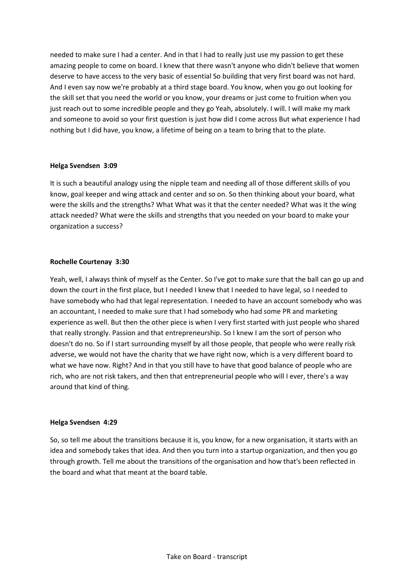needed to make sure I had a center. And in that I had to really just use my passion to get these amazing people to come on board. I knew that there wasn't anyone who didn't believe that women deserve to have access to the very basic of essential So building that very first board was not hard. And I even say now we're probably at a third stage board. You know, when you go out looking for the skill set that you need the world or you know, your dreams or just come to fruition when you just reach out to some incredible people and they go Yeah, absolutely. I will. I will make my mark and someone to avoid so your first question is just how did I come across But what experience I had nothing but I did have, you know, a lifetime of being on a team to bring that to the plate.

# **Helga Svendsen 3:09**

It is such a beautiful analogy using the nipple team and needing all of those different skills of you know, goal keeper and wing attack and center and so on. So then thinking about your board, what were the skills and the strengths? What What was it that the center needed? What was it the wing attack needed? What were the skills and strengths that you needed on your board to make your organization a success?

# **Rochelle Courtenay 3:30**

Yeah, well, I always think of myself as the Center. So I've got to make sure that the ball can go up and down the court in the first place, but I needed I knew that I needed to have legal, so I needed to have somebody who had that legal representation. I needed to have an account somebody who was an accountant, I needed to make sure that I had somebody who had some PR and marketing experience as well. But then the other piece is when I very first started with just people who shared that really strongly. Passion and that entrepreneurship. So I knew I am the sort of person who doesn't do no. So if I start surrounding myself by all those people, that people who were really risk adverse, we would not have the charity that we have right now, which is a very different board to what we have now. Right? And in that you still have to have that good balance of people who are rich, who are not risk takers, and then that entrepreneurial people who will I ever, there's a way around that kind of thing.

#### **Helga Svendsen 4:29**

So, so tell me about the transitions because it is, you know, for a new organisation, it starts with an idea and somebody takes that idea. And then you turn into a startup organization, and then you go through growth. Tell me about the transitions of the organisation and how that's been reflected in the board and what that meant at the board table.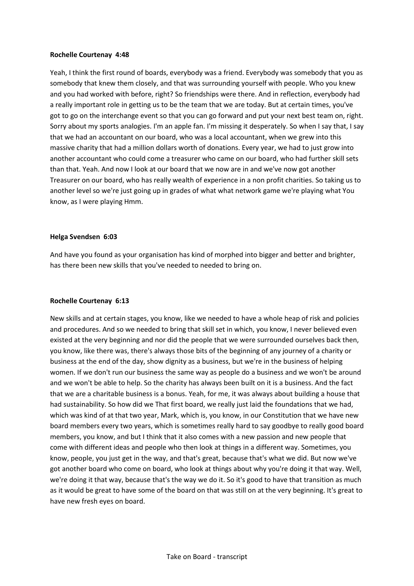#### **Rochelle Courtenay 4:48**

Yeah, I think the first round of boards, everybody was a friend. Everybody was somebody that you as somebody that knew them closely, and that was surrounding yourself with people. Who you knew and you had worked with before, right? So friendships were there. And in reflection, everybody had a really important role in getting us to be the team that we are today. But at certain times, you've got to go on the interchange event so that you can go forward and put your next best team on, right. Sorry about my sports analogies. I'm an apple fan. I'm missing it desperately. So when I say that, I say that we had an accountant on our board, who was a local accountant, when we grew into this massive charity that had a million dollars worth of donations. Every year, we had to just grow into another accountant who could come a treasurer who came on our board, who had further skill sets than that. Yeah. And now I look at our board that we now are in and we've now got another Treasurer on our board, who has really wealth of experience in a non profit charities. So taking us to another level so we're just going up in grades of what what network game we're playing what You know, as I were playing Hmm.

# **Helga Svendsen 6:03**

And have you found as your organisation has kind of morphed into bigger and better and brighter, has there been new skills that you've needed to needed to bring on.

# **Rochelle Courtenay 6:13**

New skills and at certain stages, you know, like we needed to have a whole heap of risk and policies and procedures. And so we needed to bring that skill set in which, you know, I never believed even existed at the very beginning and nor did the people that we were surrounded ourselves back then, you know, like there was, there's always those bits of the beginning of any journey of a charity or business at the end of the day, show dignity as a business, but we're in the business of helping women. If we don't run our business the same way as people do a business and we won't be around and we won't be able to help. So the charity has always been built on it is a business. And the fact that we are a charitable business is a bonus. Yeah, for me, it was always about building a house that had sustainability. So how did we That first board, we really just laid the foundations that we had, which was kind of at that two year, Mark, which is, you know, in our Constitution that we have new board members every two years, which is sometimes really hard to say goodbye to really good board members, you know, and but I think that it also comes with a new passion and new people that come with different ideas and people who then look at things in a different way. Sometimes, you know, people, you just get in the way, and that's great, because that's what we did. But now we've got another board who come on board, who look at things about why you're doing it that way. Well, we're doing it that way, because that's the way we do it. So it's good to have that transition as much as it would be great to have some of the board on that was still on at the very beginning. It's great to have new fresh eyes on board.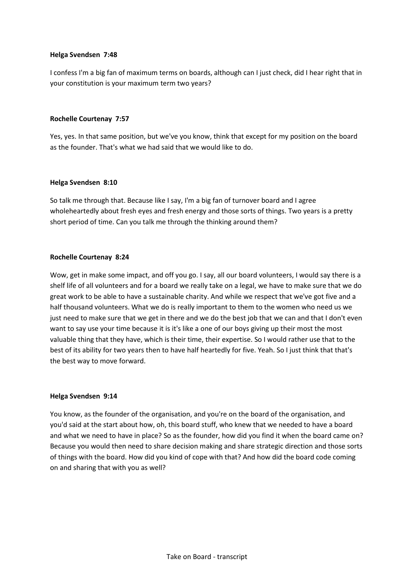# **Helga Svendsen 7:48**

I confess I'm a big fan of maximum terms on boards, although can I just check, did I hear right that in your constitution is your maximum term two years?

# **Rochelle Courtenay 7:57**

Yes, yes. In that same position, but we've you know, think that except for my position on the board as the founder. That's what we had said that we would like to do.

# **Helga Svendsen 8:10**

So talk me through that. Because like I say, I'm a big fan of turnover board and I agree wholeheartedly about fresh eyes and fresh energy and those sorts of things. Two years is a pretty short period of time. Can you talk me through the thinking around them?

# **Rochelle Courtenay 8:24**

Wow, get in make some impact, and off you go. I say, all our board volunteers, I would say there is a shelf life of all volunteers and for a board we really take on a legal, we have to make sure that we do great work to be able to have a sustainable charity. And while we respect that we've got five and a half thousand volunteers. What we do is really important to them to the women who need us we just need to make sure that we get in there and we do the best job that we can and that I don't even want to say use your time because it is it's like a one of our boys giving up their most the most valuable thing that they have, which is their time, their expertise. So I would rather use that to the best of its ability for two years then to have half heartedly for five. Yeah. So I just think that that's the best way to move forward.

#### **Helga Svendsen 9:14**

You know, as the founder of the organisation, and you're on the board of the organisation, and you'd said at the start about how, oh, this board stuff, who knew that we needed to have a board and what we need to have in place? So as the founder, how did you find it when the board came on? Because you would then need to share decision making and share strategic direction and those sorts of things with the board. How did you kind of cope with that? And how did the board code coming on and sharing that with you as well?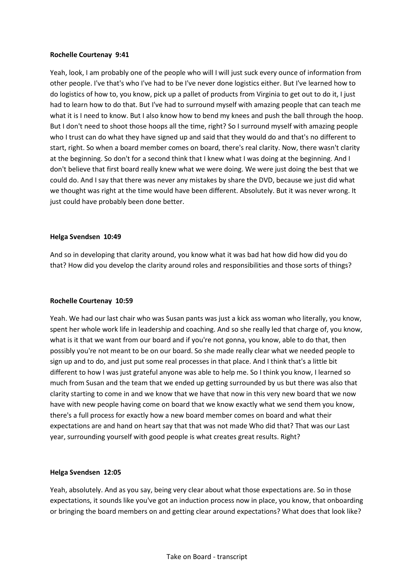# **Rochelle Courtenay 9:41**

Yeah, look, I am probably one of the people who will I will just suck every ounce of information from other people. I've that's who I've had to be I've never done logistics either. But I've learned how to do logistics of how to, you know, pick up a pallet of products from Virginia to get out to do it, I just had to learn how to do that. But I've had to surround myself with amazing people that can teach me what it is I need to know. But I also know how to bend my knees and push the ball through the hoop. But I don't need to shoot those hoops all the time, right? So I surround myself with amazing people who I trust can do what they have signed up and said that they would do and that's no different to start, right. So when a board member comes on board, there's real clarity. Now, there wasn't clarity at the beginning. So don't for a second think that I knew what I was doing at the beginning. And I don't believe that first board really knew what we were doing. We were just doing the best that we could do. And I say that there was never any mistakes by share the DVD, because we just did what we thought was right at the time would have been different. Absolutely. But it was never wrong. It just could have probably been done better.

# **Helga Svendsen 10:49**

And so in developing that clarity around, you know what it was bad hat how did how did you do that? How did you develop the clarity around roles and responsibilities and those sorts of things?

#### **Rochelle Courtenay 10:59**

Yeah. We had our last chair who was Susan pants was just a kick ass woman who literally, you know, spent her whole work life in leadership and coaching. And so she really led that charge of, you know, what is it that we want from our board and if you're not gonna, you know, able to do that, then possibly you're not meant to be on our board. So she made really clear what we needed people to sign up and to do, and just put some real processes in that place. And I think that's a little bit different to how I was just grateful anyone was able to help me. So I think you know, I learned so much from Susan and the team that we ended up getting surrounded by us but there was also that clarity starting to come in and we know that we have that now in this very new board that we now have with new people having come on board that we know exactly what we send them you know, there's a full process for exactly how a new board member comes on board and what their expectations are and hand on heart say that that was not made Who did that? That was our Last year, surrounding yourself with good people is what creates great results. Right?

#### **Helga Svendsen 12:05**

Yeah, absolutely. And as you say, being very clear about what those expectations are. So in those expectations, it sounds like you've got an induction process now in place, you know, that onboarding or bringing the board members on and getting clear around expectations? What does that look like?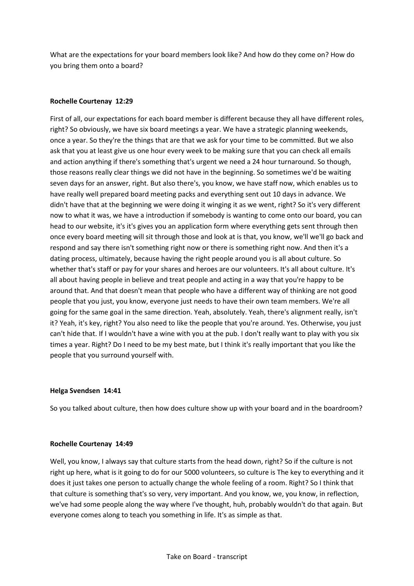What are the expectations for your board members look like? And how do they come on? How do you bring them onto a board?

# **Rochelle Courtenay 12:29**

First of all, our expectations for each board member is different because they all have different roles, right? So obviously, we have six board meetings a year. We have a strategic planning weekends, once a year. So they're the things that are that we ask for your time to be committed. But we also ask that you at least give us one hour every week to be making sure that you can check all emails and action anything if there's something that's urgent we need a 24 hour turnaround. So though, those reasons really clear things we did not have in the beginning. So sometimes we'd be waiting seven days for an answer, right. But also there's, you know, we have staff now, which enables us to have really well prepared board meeting packs and everything sent out 10 days in advance. We didn't have that at the beginning we were doing it winging it as we went, right? So it's very different now to what it was, we have a introduction if somebody is wanting to come onto our board, you can head to our website, it's it's gives you an application form where everything gets sent through then once every board meeting will sit through those and look at is that, you know, we'll we'll go back and respond and say there isn't something right now or there is something right now. And then it's a dating process, ultimately, because having the right people around you is all about culture. So whether that's staff or pay for your shares and heroes are our volunteers. It's all about culture. It's all about having people in believe and treat people and acting in a way that you're happy to be around that. And that doesn't mean that people who have a different way of thinking are not good people that you just, you know, everyone just needs to have their own team members. We're all going for the same goal in the same direction. Yeah, absolutely. Yeah, there's alignment really, isn't it? Yeah, it's key, right? You also need to like the people that you're around. Yes. Otherwise, you just can't hide that. If I wouldn't have a wine with you at the pub. I don't really want to play with you six times a year. Right? Do I need to be my best mate, but I think it's really important that you like the people that you surround yourself with.

# **Helga Svendsen 14:41**

So you talked about culture, then how does culture show up with your board and in the boardroom?

# **Rochelle Courtenay 14:49**

Well, you know, I always say that culture starts from the head down, right? So if the culture is not right up here, what is it going to do for our 5000 volunteers, so culture is The key to everything and it does it just takes one person to actually change the whole feeling of a room. Right? So I think that that culture is something that's so very, very important. And you know, we, you know, in reflection, we've had some people along the way where I've thought, huh, probably wouldn't do that again. But everyone comes along to teach you something in life. It's as simple as that.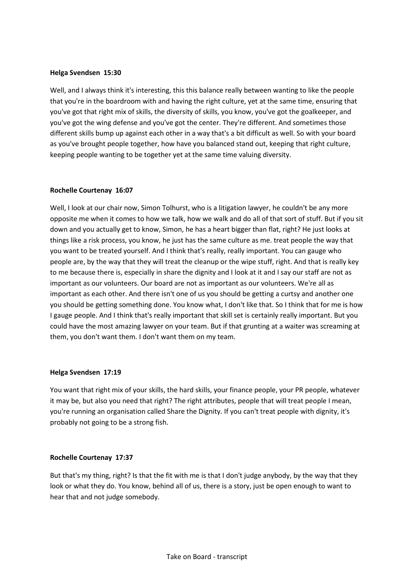## **Helga Svendsen 15:30**

Well, and I always think it's interesting, this this balance really between wanting to like the people that you're in the boardroom with and having the right culture, yet at the same time, ensuring that you've got that right mix of skills, the diversity of skills, you know, you've got the goalkeeper, and you've got the wing defense and you've got the center. They're different. And sometimes those different skills bump up against each other in a way that's a bit difficult as well. So with your board as you've brought people together, how have you balanced stand out, keeping that right culture, keeping people wanting to be together yet at the same time valuing diversity.

# **Rochelle Courtenay 16:07**

Well, I look at our chair now, Simon Tolhurst, who is a litigation lawyer, he couldn't be any more opposite me when it comes to how we talk, how we walk and do all of that sort of stuff. But if you sit down and you actually get to know, Simon, he has a heart bigger than flat, right? He just looks at things like a risk process, you know, he just has the same culture as me. treat people the way that you want to be treated yourself. And I think that's really, really important. You can gauge who people are, by the way that they will treat the cleanup or the wipe stuff, right. And that is really key to me because there is, especially in share the dignity and I look at it and I say our staff are not as important as our volunteers. Our board are not as important as our volunteers. We're all as important as each other. And there isn't one of us you should be getting a curtsy and another one you should be getting something done. You know what, I don't like that. So I think that for me is how I gauge people. And I think that's really important that skill set is certainly really important. But you could have the most amazing lawyer on your team. But if that grunting at a waiter was screaming at them, you don't want them. I don't want them on my team.

#### **Helga Svendsen 17:19**

You want that right mix of your skills, the hard skills, your finance people, your PR people, whatever it may be, but also you need that right? The right attributes, people that will treat people I mean, you're running an organisation called Share the Dignity. If you can't treat people with dignity, it's probably not going to be a strong fish.

# **Rochelle Courtenay 17:37**

But that's my thing, right? Is that the fit with me is that I don't judge anybody, by the way that they look or what they do. You know, behind all of us, there is a story, just be open enough to want to hear that and not judge somebody.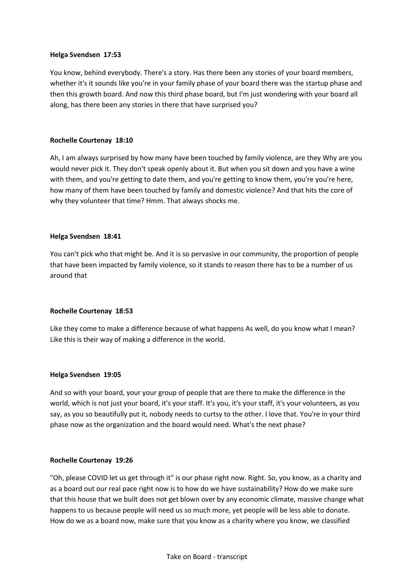# **Helga Svendsen 17:53**

You know, behind everybody. There's a story. Has there been any stories of your board members, whether it's it sounds like you're in your family phase of your board there was the startup phase and then this growth board. And now this third phase board, but I'm just wondering with your board all along, has there been any stories in there that have surprised you?

# **Rochelle Courtenay 18:10**

Ah, I am always surprised by how many have been touched by family violence, are they Why are you would never pick it. They don't speak openly about it. But when you sit down and you have a wine with them, and you're getting to date them, and you're getting to know them, you're you're here, how many of them have been touched by family and domestic violence? And that hits the core of why they volunteer that time? Hmm. That always shocks me.

# **Helga Svendsen 18:41**

You can't pick who that might be. And it is so pervasive in our community, the proportion of people that have been impacted by family violence, so it stands to reason there has to be a number of us around that

#### **Rochelle Courtenay 18:53**

Like they come to make a difference because of what happens As well, do you know what I mean? Like this is their way of making a difference in the world.

#### **Helga Svendsen 19:05**

And so with your board, your your group of people that are there to make the difference in the world, which is not just your board, it's your staff. It's you, it's your staff, it's your volunteers, as you say, as you so beautifully put it, nobody needs to curtsy to the other. I love that. You're in your third phase now as the organization and the board would need. What's the next phase?

#### **Rochelle Courtenay 19:26**

"Oh, please COVID let us get through it" is our phase right now. Right. So, you know, as a charity and as a board out our real pace right now is to how do we have sustainability? How do we make sure that this house that we built does not get blown over by any economic climate, massive change what happens to us because people will need us so much more, yet people will be less able to donate. How do we as a board now, make sure that you know as a charity where you know, we classified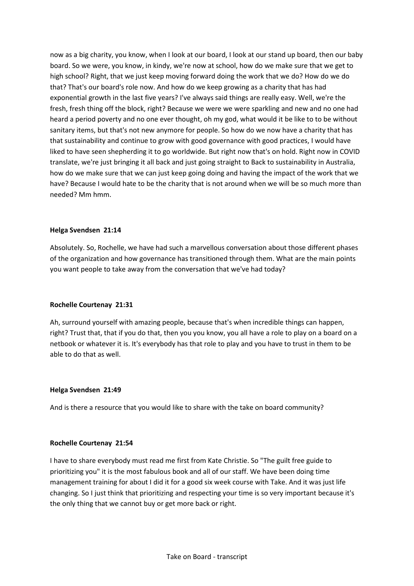now as a big charity, you know, when I look at our board, I look at our stand up board, then our baby board. So we were, you know, in kindy, we're now at school, how do we make sure that we get to high school? Right, that we just keep moving forward doing the work that we do? How do we do that? That's our board's role now. And how do we keep growing as a charity that has had exponential growth in the last five years? I've always said things are really easy. Well, we're the fresh, fresh thing off the block, right? Because we were we were sparkling and new and no one had heard a period poverty and no one ever thought, oh my god, what would it be like to to be without sanitary items, but that's not new anymore for people. So how do we now have a charity that has that sustainability and continue to grow with good governance with good practices, I would have liked to have seen shepherding it to go worldwide. But right now that's on hold. Right now in COVID translate, we're just bringing it all back and just going straight to Back to sustainability in Australia, how do we make sure that we can just keep going doing and having the impact of the work that we have? Because I would hate to be the charity that is not around when we will be so much more than needed? Mm hmm.

# **Helga Svendsen 21:14**

Absolutely. So, Rochelle, we have had such a marvellous conversation about those different phases of the organization and how governance has transitioned through them. What are the main points you want people to take away from the conversation that we've had today?

# **Rochelle Courtenay 21:31**

Ah, surround yourself with amazing people, because that's when incredible things can happen, right? Trust that, that if you do that, then you you know, you all have a role to play on a board on a netbook or whatever it is. It's everybody has that role to play and you have to trust in them to be able to do that as well.

# **Helga Svendsen 21:49**

And is there a resource that you would like to share with the take on board community?

#### **Rochelle Courtenay 21:54**

I have to share everybody must read me first from Kate Christie. So "The guilt free guide to prioritizing you" it is the most fabulous book and all of our staff. We have been doing time management training for about I did it for a good six week course with Take. And it was just life changing. So I just think that prioritizing and respecting your time is so very important because it's the only thing that we cannot buy or get more back or right.